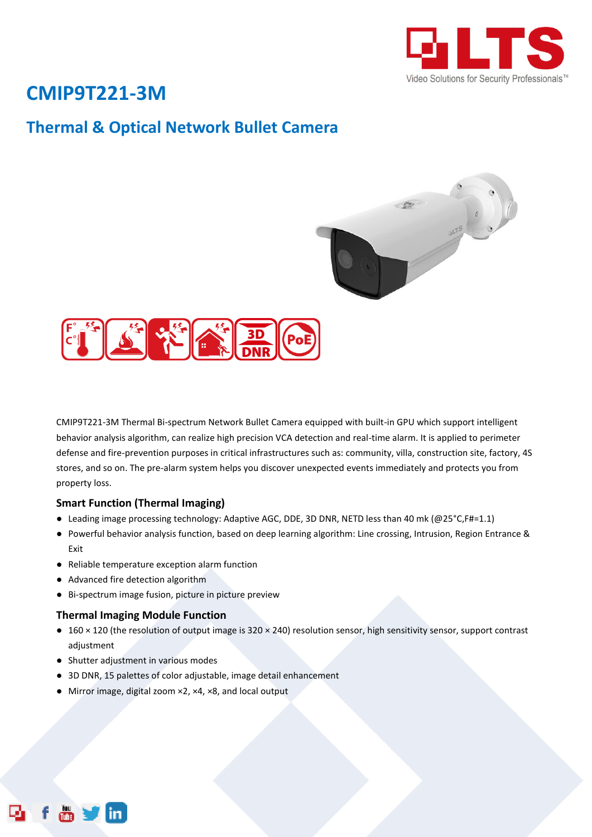

# **CMIP9T221-3M**

## **Thermal & Optical Network Bullet Camera**





CMIP9T221-3M Thermal Bi-spectrum Network Bullet Camera equipped with built-in GPU which support intelligent behavior analysis algorithm, can realize high precision VCA detection and real-time alarm. It is applied to perimeter defense and fire-prevention purposes in critical infrastructures such as: community, villa, construction site, factory, 4S stores, and so on. The pre-alarm system helps you discover unexpected events immediately and protects you from property loss.

### **Smart Function (Thermal Imaging)**

- Leading image processing technology: Adaptive AGC, DDE, 3D DNR, NETD less than 40 mk (@25°C,F#=1.1)
- Powerful behavior analysis function, based on deep learning algorithm: Line crossing, Intrusion, Region Entrance & Exit
- Reliable temperature exception alarm function
- Advanced fire detection algorithm
- Bi-spectrum image fusion, picture in picture preview

### **Thermal Imaging Module Function**

- 160 × 120 (the resolution of output image is 320 × 240) resolution sensor, high sensitivity sensor, support contrast adjustment
- Shutter adjustment in various modes
- 3D DNR, 15 palettes of color adjustable, image detail enhancement
- Mirror image, digital zoom ×2, ×4, ×8, and local output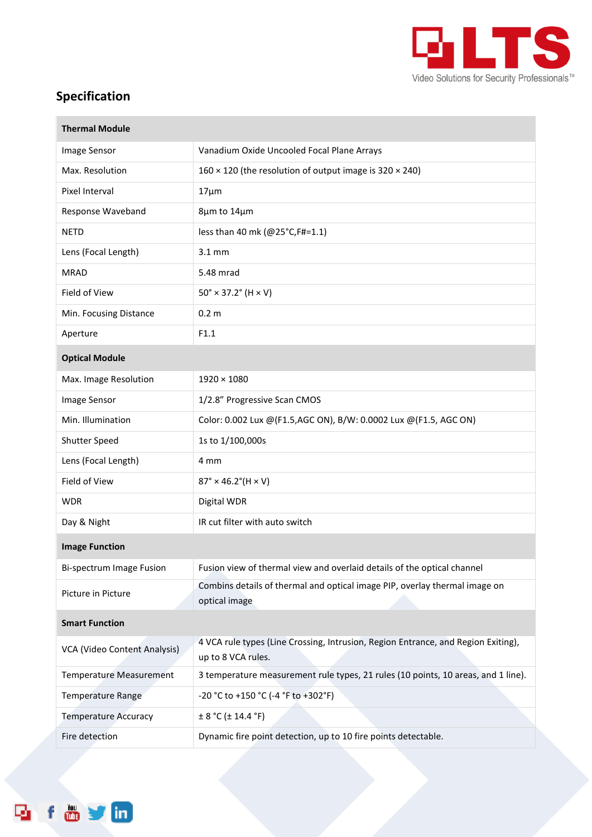

## **Specification**

form

Ę,

| <b>Thermal Module</b>          |                                                                                                         |
|--------------------------------|---------------------------------------------------------------------------------------------------------|
| Image Sensor                   | Vanadium Oxide Uncooled Focal Plane Arrays                                                              |
| Max. Resolution                | 160 $\times$ 120 (the resolution of output image is 320 $\times$ 240)                                   |
| Pixel Interval                 | $17 \mu m$                                                                                              |
| Response Waveband              | 8µm to 14µm                                                                                             |
| <b>NETD</b>                    | less than 40 mk (@25°C, F#=1.1)                                                                         |
| Lens (Focal Length)            | $3.1$ mm                                                                                                |
| <b>MRAD</b>                    | 5.48 mrad                                                                                               |
| Field of View                  | $50^{\circ} \times 37.2^{\circ}$ (H $\times$ V)                                                         |
| Min. Focusing Distance         | 0.2 <sub>m</sub>                                                                                        |
| Aperture                       | F1.1                                                                                                    |
| <b>Optical Module</b>          |                                                                                                         |
| Max. Image Resolution          | $1920 \times 1080$                                                                                      |
| Image Sensor                   | 1/2.8" Progressive Scan CMOS                                                                            |
| Min. Illumination              | Color: 0.002 Lux @(F1.5,AGC ON), B/W: 0.0002 Lux @(F1.5, AGC ON)                                        |
| Shutter Speed                  | 1s to 1/100,000s                                                                                        |
| Lens (Focal Length)            | 4 mm                                                                                                    |
| Field of View                  | $87^{\circ} \times 46.2^{\circ}$ (H × V)                                                                |
| <b>WDR</b>                     | Digital WDR                                                                                             |
| Day & Night                    | IR cut filter with auto switch                                                                          |
| <b>Image Function</b>          |                                                                                                         |
| Bi-spectrum Image Fusion       | Fusion view of thermal view and overlaid details of the optical channel                                 |
| Picture in Picture             | Combins details of thermal and optical image PIP, overlay thermal image on<br>optical image             |
| <b>Smart Function</b>          |                                                                                                         |
| VCA (Video Content Analysis)   | 4 VCA rule types (Line Crossing, Intrusion, Region Entrance, and Region Exiting),<br>up to 8 VCA rules. |
| <b>Temperature Measurement</b> | 3 temperature measurement rule types, 21 rules (10 points, 10 areas, and 1 line).                       |
| Temperature Range              | -20 °C to +150 °C (-4 °F to +302°F)                                                                     |
| <b>Temperature Accuracy</b>    | ± 8 °C (± 14.4 °F)                                                                                      |
| Fire detection                 | Dynamic fire point detection, up to 10 fire points detectable.                                          |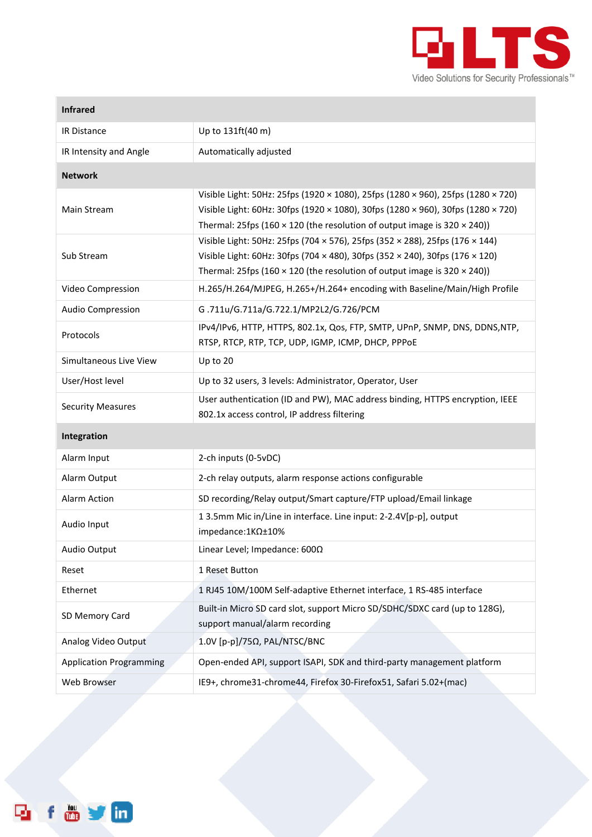

**Contract Contract** 

| <b>Infrared</b>                |                                                                                                                                                                                                                                                                |  |  |  |
|--------------------------------|----------------------------------------------------------------------------------------------------------------------------------------------------------------------------------------------------------------------------------------------------------------|--|--|--|
| IR Distance                    | Up to 131ft(40 m)                                                                                                                                                                                                                                              |  |  |  |
| IR Intensity and Angle         | Automatically adjusted                                                                                                                                                                                                                                         |  |  |  |
| <b>Network</b>                 |                                                                                                                                                                                                                                                                |  |  |  |
| Main Stream                    | Visible Light: 50Hz: 25fps (1920 × 1080), 25fps (1280 × 960), 25fps (1280 × 720)<br>Visible Light: 60Hz: 30fps (1920 × 1080), 30fps (1280 × 960), 30fps (1280 × 720)<br>Thermal: 25fps (160 $\times$ 120 (the resolution of output image is 320 $\times$ 240)) |  |  |  |
| Sub Stream                     | Visible Light: 50Hz: 25fps (704 × 576), 25fps (352 × 288), 25fps (176 × 144)<br>Visible Light: 60Hz: 30fps (704 × 480), 30fps (352 × 240), 30fps (176 × 120)<br>Thermal: 25fps (160 $\times$ 120 (the resolution of output image is 320 $\times$ 240))         |  |  |  |
| Video Compression              | H.265/H.264/MJPEG, H.265+/H.264+ encoding with Baseline/Main/High Profile                                                                                                                                                                                      |  |  |  |
| <b>Audio Compression</b>       | G.711u/G.711a/G.722.1/MP2L2/G.726/PCM                                                                                                                                                                                                                          |  |  |  |
| Protocols                      | IPv4/IPv6, HTTP, HTTPS, 802.1x, Qos, FTP, SMTP, UPnP, SNMP, DNS, DDNS, NTP,<br>RTSP, RTCP, RTP, TCP, UDP, IGMP, ICMP, DHCP, PPPOE                                                                                                                              |  |  |  |
| Simultaneous Live View         | Up to 20                                                                                                                                                                                                                                                       |  |  |  |
| User/Host level                | Up to 32 users, 3 levels: Administrator, Operator, User                                                                                                                                                                                                        |  |  |  |
| <b>Security Measures</b>       | User authentication (ID and PW), MAC address binding, HTTPS encryption, IEEE<br>802.1x access control, IP address filtering                                                                                                                                    |  |  |  |
| Integration                    |                                                                                                                                                                                                                                                                |  |  |  |
| Alarm Input                    | 2-ch inputs (0-5vDC)                                                                                                                                                                                                                                           |  |  |  |
| Alarm Output                   | 2-ch relay outputs, alarm response actions configurable                                                                                                                                                                                                        |  |  |  |
| Alarm Action                   | SD recording/Relay output/Smart capture/FTP upload/Email linkage                                                                                                                                                                                               |  |  |  |
| Audio Input                    | 1 3.5mm Mic in/Line in interface. Line input: 2-2.4V[p-p], output<br>impedance: 1ΚΩ±10%                                                                                                                                                                        |  |  |  |
| Audio Output                   | Linear Level; Impedance: 6000                                                                                                                                                                                                                                  |  |  |  |
| Reset                          | 1 Reset Button                                                                                                                                                                                                                                                 |  |  |  |
| Ethernet                       | 1 RJ45 10M/100M Self-adaptive Ethernet interface, 1 RS-485 interface                                                                                                                                                                                           |  |  |  |
| SD Memory Card                 | Built-in Micro SD card slot, support Micro SD/SDHC/SDXC card (up to 128G),<br>support manual/alarm recording                                                                                                                                                   |  |  |  |
| Analog Video Output            | 1.0V [p-p]/75Ω, PAL/NTSC/BNC                                                                                                                                                                                                                                   |  |  |  |
| <b>Application Programming</b> | Open-ended API, support ISAPI, SDK and third-party management platform                                                                                                                                                                                         |  |  |  |
| Web Browser                    | IE9+, chrome31-chrome44, Firefox 30-Firefox51, Safari 5.02+(mac)                                                                                                                                                                                               |  |  |  |

f & y m 凾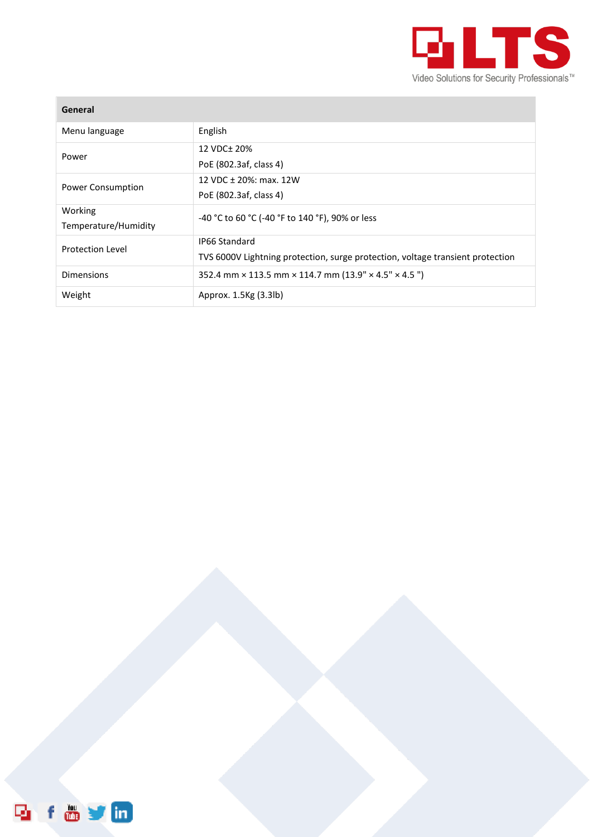

| General                         |                                                                                                 |
|---------------------------------|-------------------------------------------------------------------------------------------------|
| Menu language                   | English                                                                                         |
| Power                           | 12 VDC+ 20%<br>PoE (802.3af, class 4)                                                           |
| <b>Power Consumption</b>        | 12 VDC ± 20%: max. 12W<br>PoE (802.3af, class 4)                                                |
| Working<br>Temperature/Humidity | -40 °C to 60 °C (-40 °F to 140 °F), 90% or less                                                 |
| <b>Protection Level</b>         | IP66 Standard<br>TVS 6000V Lightning protection, surge protection, voltage transient protection |
| Dimensions                      | 352.4 mm $\times$ 113.5 mm $\times$ 114.7 mm (13.9" $\times$ 4.5" $\times$ 4.5")                |
| Weight                          | Approx. 1.5Kg (3.3lb)                                                                           |